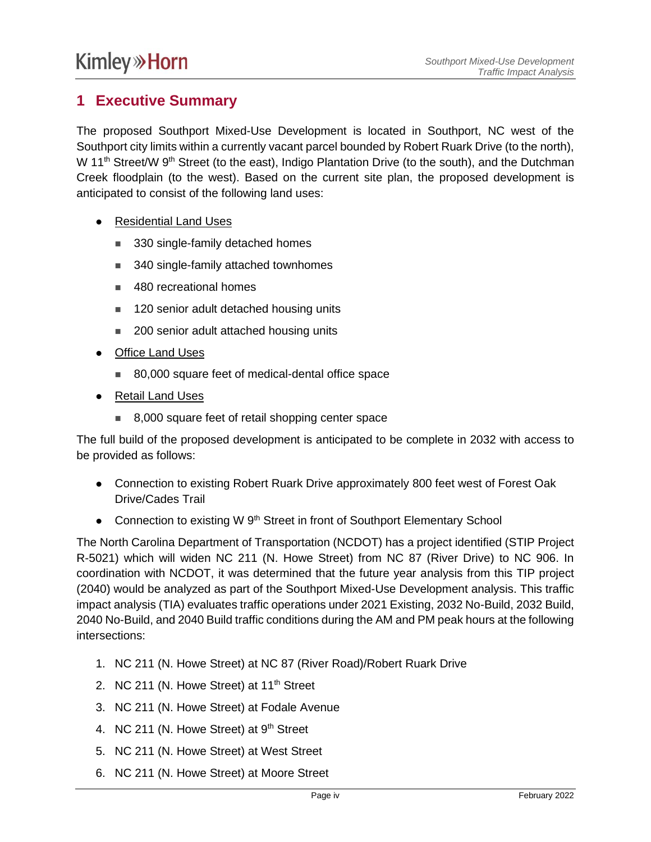## **1 Executive Summary**

The proposed Southport Mixed-Use Development is located in Southport, NC west of the Southport city limits within a currently vacant parcel bounded by Robert Ruark Drive (to the north), W 11<sup>th</sup> Street/W 9<sup>th</sup> Street (to the east), Indigo Plantation Drive (to the south), and the Dutchman Creek floodplain (to the west). Based on the current site plan, the proposed development is anticipated to consist of the following land uses:

- Residential Land Uses
	- 330 single-family detached homes
	- 340 single-family attached townhomes
	- 480 recreational homes
	- 120 senior adult detached housing units
	- 200 senior adult attached housing units
- ⚫ Office Land Uses
	- 80,000 square feet of medical-dental office space
- ⚫ Retail Land Uses
	- 8,000 square feet of retail shopping center space

The full build of the proposed development is anticipated to be complete in 2032 with access to be provided as follows:

- Connection to existing Robert Ruark Drive approximately 800 feet west of Forest Oak Drive/Cades Trail
- Connection to existing W 9<sup>th</sup> Street in front of Southport Elementary School

The North Carolina Department of Transportation (NCDOT) has a project identified (STIP Project R-5021) which will widen NC 211 (N. Howe Street) from NC 87 (River Drive) to NC 906. In coordination with NCDOT, it was determined that the future year analysis from this TIP project (2040) would be analyzed as part of the Southport Mixed-Use Development analysis. This traffic impact analysis (TIA) evaluates traffic operations under 2021 Existing, 2032 No-Build, 2032 Build, 2040 No-Build, and 2040 Build traffic conditions during the AM and PM peak hours at the following intersections:

- 1. NC 211 (N. Howe Street) at NC 87 (River Road)/Robert Ruark Drive
- 2. NC 211 (N. Howe Street) at  $11<sup>th</sup>$  Street
- 3. NC 211 (N. Howe Street) at Fodale Avenue
- 4. NC 211 (N. Howe Street) at 9<sup>th</sup> Street
- 5. NC 211 (N. Howe Street) at West Street
- 6. NC 211 (N. Howe Street) at Moore Street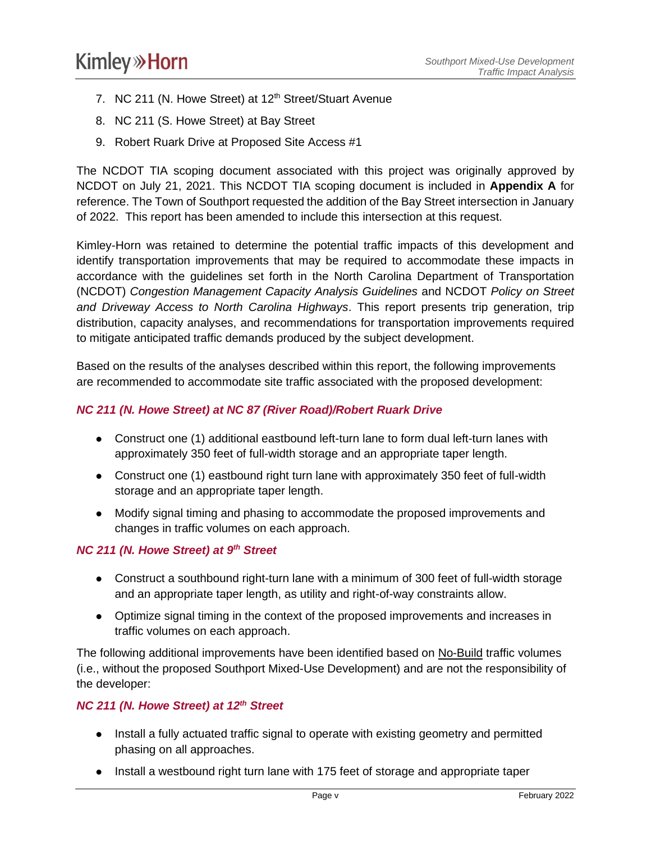- 7. NC 211 (N. Howe Street) at 12<sup>th</sup> Street/Stuart Avenue
- 8. NC 211 (S. Howe Street) at Bay Street
- 9. Robert Ruark Drive at Proposed Site Access #1

The NCDOT TIA scoping document associated with this project was originally approved by NCDOT on July 21, 2021. This NCDOT TIA scoping document is included in **Appendix A** for reference. The Town of Southport requested the addition of the Bay Street intersection in January of 2022. This report has been amended to include this intersection at this request.

Kimley-Horn was retained to determine the potential traffic impacts of this development and identify transportation improvements that may be required to accommodate these impacts in accordance with the guidelines set forth in the North Carolina Department of Transportation (NCDOT) *Congestion Management Capacity Analysis Guidelines* and NCDOT *Policy on Street and Driveway Access to North Carolina Highways*. This report presents trip generation, trip distribution, capacity analyses, and recommendations for transportation improvements required to mitigate anticipated traffic demands produced by the subject development.

Based on the results of the analyses described within this report, the following improvements are recommended to accommodate site traffic associated with the proposed development:

#### *NC 211 (N. Howe Street) at NC 87 (River Road)/Robert Ruark Drive*

- Construct one (1) additional eastbound left-turn lane to form dual left-turn lanes with approximately 350 feet of full-width storage and an appropriate taper length.
- Construct one (1) eastbound right turn lane with approximately 350 feet of full-width storage and an appropriate taper length.
- ⚫ Modify signal timing and phasing to accommodate the proposed improvements and changes in traffic volumes on each approach.

#### *NC 211 (N. Howe Street) at 9<sup>th</sup> Street*

- Construct a southbound right-turn lane with a minimum of 300 feet of full-width storage and an appropriate taper length, as utility and right-of-way constraints allow.
- ⚫ Optimize signal timing in the context of the proposed improvements and increases in traffic volumes on each approach.

The following additional improvements have been identified based on No-Build traffic volumes (i.e., without the proposed Southport Mixed-Use Development) and are not the responsibility of the developer:

#### *NC 211 (N. Howe Street) at 12th Street*

- Install a fully actuated traffic signal to operate with existing geometry and permitted phasing on all approaches.
- Install a westbound right turn lane with 175 feet of storage and appropriate taper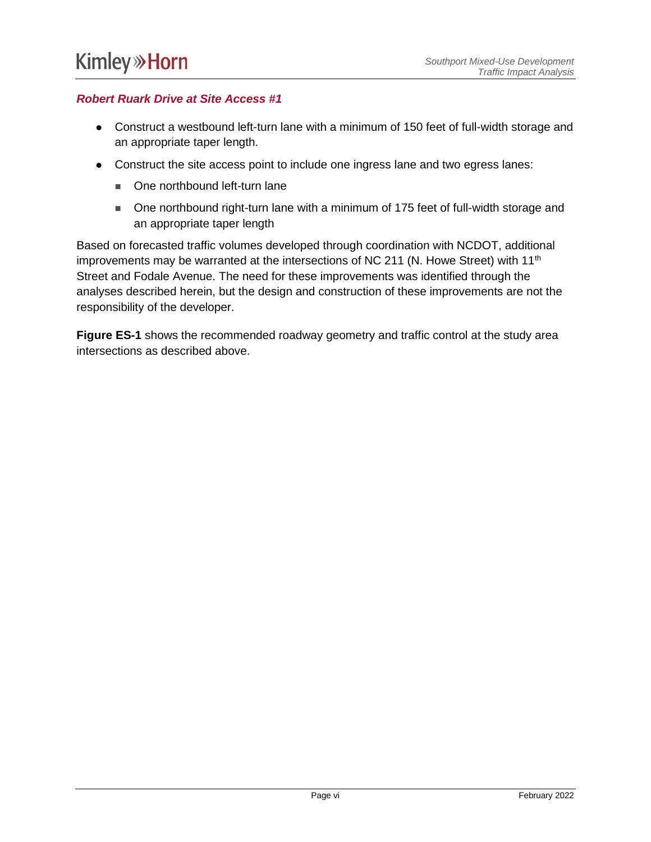### *Robert Ruark Drive at Site Access #1*

- Construct a westbound left-turn lane with a minimum of 150 feet of full-width storage and an appropriate taper length.
- ⚫ Construct the site access point to include one ingress lane and two egress lanes:
	- One northbound left-turn lane
	- One northbound right-turn lane with a minimum of 175 feet of full-width storage and an appropriate taper length

Based on forecasted traffic volumes developed through coordination with NCDOT, additional improvements may be warranted at the intersections of NC 211 (N. Howe Street) with  $11<sup>th</sup>$ Street and Fodale Avenue. The need for these improvements was identified through the analyses described herein, but the design and construction of these improvements are not the responsibility of the developer.

**Figure ES-1** shows the recommended roadway geometry and traffic control at the study area intersections as described above.